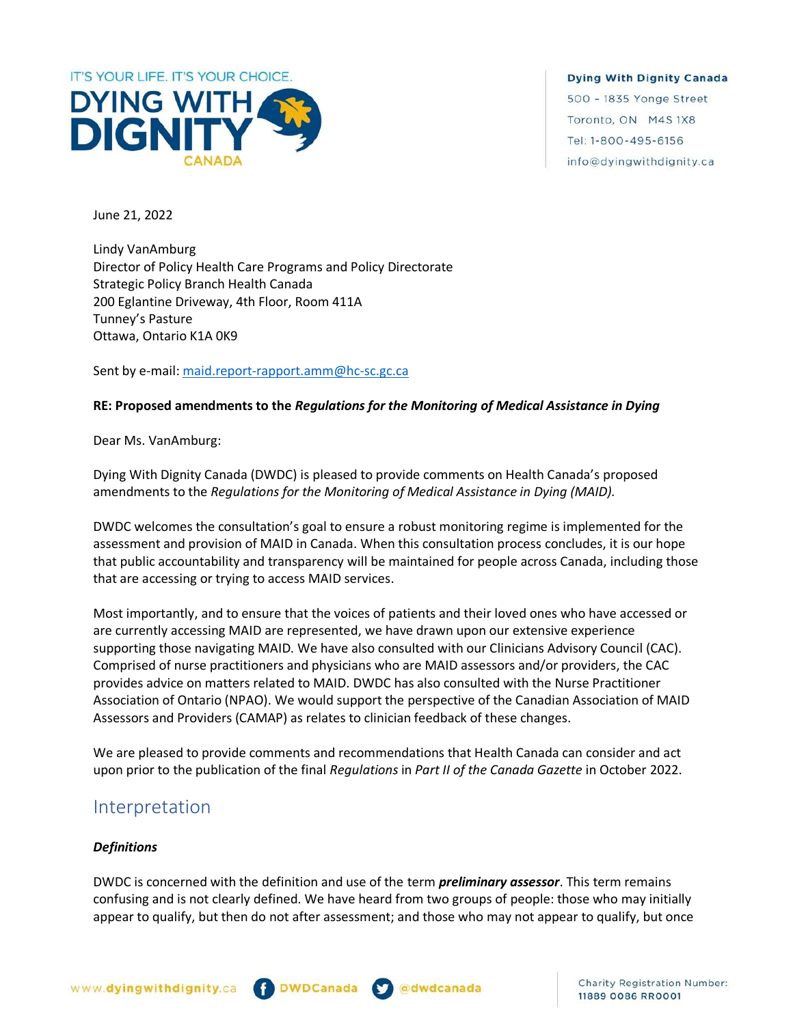

June 21, 2022

Lindy VanAmburg Director of Policy Health Care Programs and Policy Directorate Strategic Policy Branch Health Canada 200 Eglantine Driveway, 4th Floor, Room 411A Tunney's Pasture Ottawa, Ontario K1A 0K9

Sent by e-mail: [maid.report-rapport.amm@hc-sc.gc.ca](mailto:maid.report-rapport.amm@hc-sc.gc.ca)

## **RE: Proposed amendments to the** *Regulations for the Monitoring of Medical Assistance in Dying*

Dear Ms. VanAmburg:

Dying With Dignity Canada (DWDC) is pleased to provide comments on Health Canada's proposed amendments to the *Regulations for the Monitoring of Medical Assistance in Dying (MAID).*

DWDC welcomes the consultation's goal to ensure a robust monitoring regime is implemented for the assessment and provision of MAID in Canada. When this consultation process concludes, it is our hope that public accountability and transparency will be maintained for people across Canada, including those that are accessing or trying to access MAID services.

Most importantly, and to ensure that the voices of patients and their loved ones who have accessed or are currently accessing MAID are represented, we have drawn upon our extensive experience supporting those navigating MAID. We have also consulted with our Clinicians Advisory Council (CAC). Comprised of nurse practitioners and physicians who are MAID assessors and/or providers, the CAC provides advice on matters related to MAID. DWDC has also consulted with the Nurse Practitioner Association of Ontario (NPAO). We would support the perspective of the Canadian Association of MAID Assessors and Providers (CAMAP) as relates to clinician feedback of these changes.

We are pleased to provide comments and recommendations that Health Canada can consider and act upon prior to the publication of the final *Regulations* in *Part II of the Canada Gazette* in October 2022.

## Interpretation

## *Definitions*

DWDC is concerned with the definition and use of the term *preliminary assessor*. This term remains confusing and is not clearly defined. We have heard from two groups of people: those who may initially appear to qualify, but then do not after assessment; and those who may not appear to qualify, but once



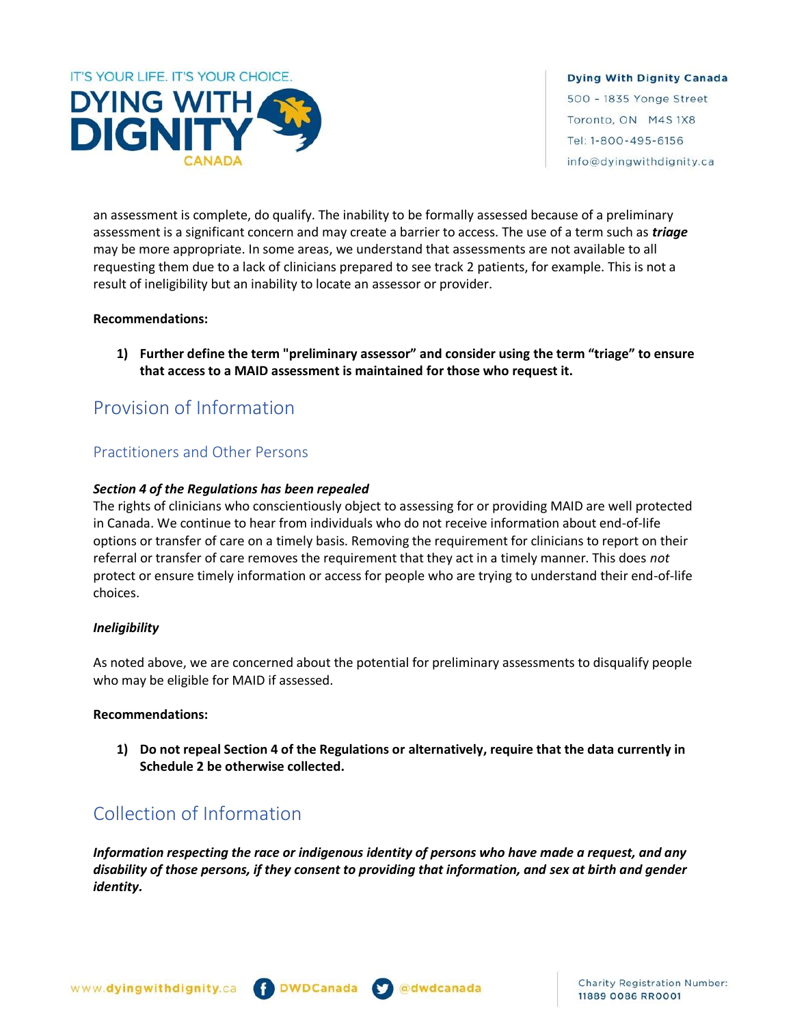

an assessment is complete, do qualify. The inability to be formally assessed because of a preliminary assessment is a significant concern and may create a barrier to access. The use of a term such as *triage* may be more appropriate. In some areas, we understand that assessments are not available to all requesting them due to a lack of clinicians prepared to see track 2 patients, for example. This is not a result of ineligibility but an inability to locate an assessor or provider.

### **Recommendations:**

**1) Further define the term "preliminary assessor" and consider using the term "triage" to ensure that access to a MAID assessment is maintained for those who request it.**

## Provision of Information

## Practitioners and Other Persons

## *Section 4 of the Regulations has been repealed*

The rights of clinicians who conscientiously object to assessing for or providing MAID are well protected in Canada. We continue to hear from individuals who do not receive information about end-of-life options or transfer of care on a timely basis. Removing the requirement for clinicians to report on their referral or transfer of care removes the requirement that they act in a timely manner. This does *not*  protect or ensure timely information or access for people who are trying to understand their end-of-life choices.

## *Ineligibility*

As noted above, we are concerned about the potential for preliminary assessments to disqualify people who may be eligible for MAID if assessed.

#### **Recommendations:**

**1) Do not repeal Section 4 of the Regulations or alternatively, require that the data currently in Schedule 2 be otherwise collected.**

# Collection of Information

*Information respecting the race or indigenous identity of persons who have made a request, and any disability of those persons, if they consent to providing that information, and sex at birth and gender identity.*



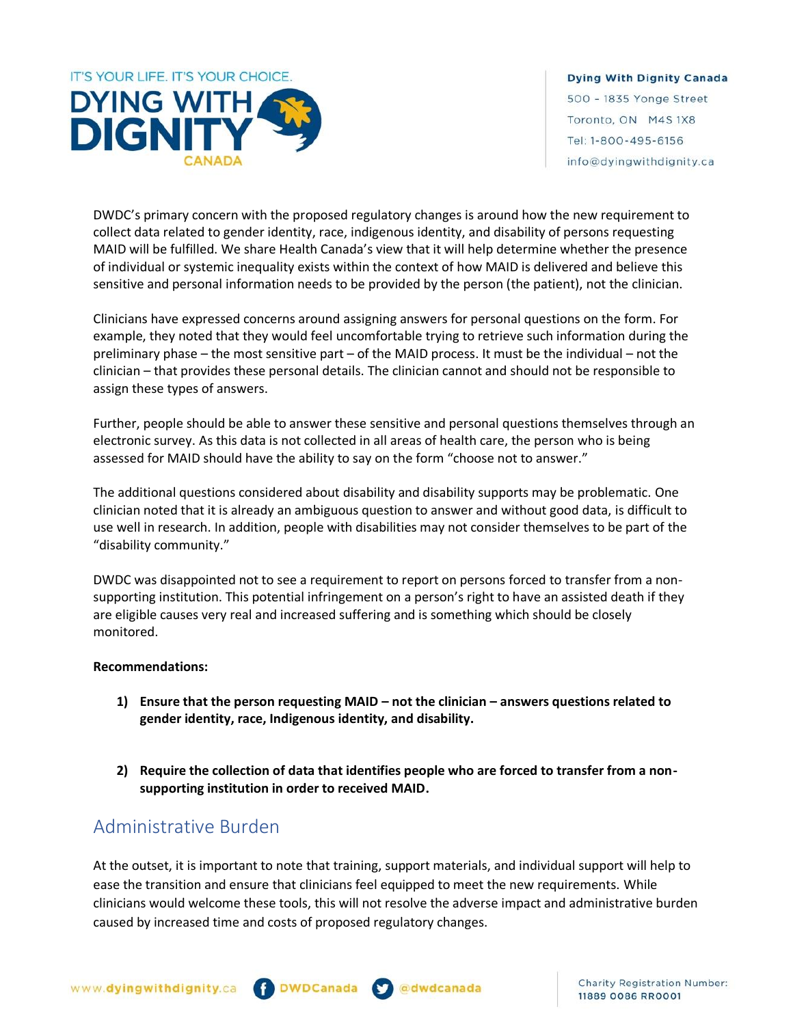

DWDC's primary concern with the proposed regulatory changes is around how the new requirement to collect data related to gender identity, race, indigenous identity, and disability of persons requesting MAID will be fulfilled. We share Health Canada's view that it will help determine whether the presence of individual or systemic inequality exists within the context of how MAID is delivered and believe this sensitive and personal information needs to be provided by the person (the patient), not the clinician.

Clinicians have expressed concerns around assigning answers for personal questions on the form. For example, they noted that they would feel uncomfortable trying to retrieve such information during the preliminary phase – the most sensitive part – of the MAID process. It must be the individual – not the clinician – that provides these personal details. The clinician cannot and should not be responsible to assign these types of answers.

Further, people should be able to answer these sensitive and personal questions themselves through an electronic survey. As this data is not collected in all areas of health care, the person who is being assessed for MAID should have the ability to say on the form "choose not to answer."

The additional questions considered about disability and disability supports may be problematic. One clinician noted that it is already an ambiguous question to answer and without good data, is difficult to use well in research. In addition, people with disabilities may not consider themselves to be part of the "disability community."

DWDC was disappointed not to see a requirement to report on persons forced to transfer from a nonsupporting institution. This potential infringement on a person's right to have an assisted death if they are eligible causes very real and increased suffering and is something which should be closely monitored.

## **Recommendations:**

- **1) Ensure that the person requesting MAID – not the clinician – answers questions related to gender identity, race, Indigenous identity, and disability.**
- **2) Require the collection of data that identifies people who are forced to transfer from a nonsupporting institution in order to received MAID.**

## Administrative Burden

At the outset, it is important to note that training, support materials, and individual support will help to ease the transition and ensure that clinicians feel equipped to meet the new requirements. While clinicians would welcome these tools, this will not resolve the adverse impact and administrative burden caused by increased time and costs of proposed regulatory changes.



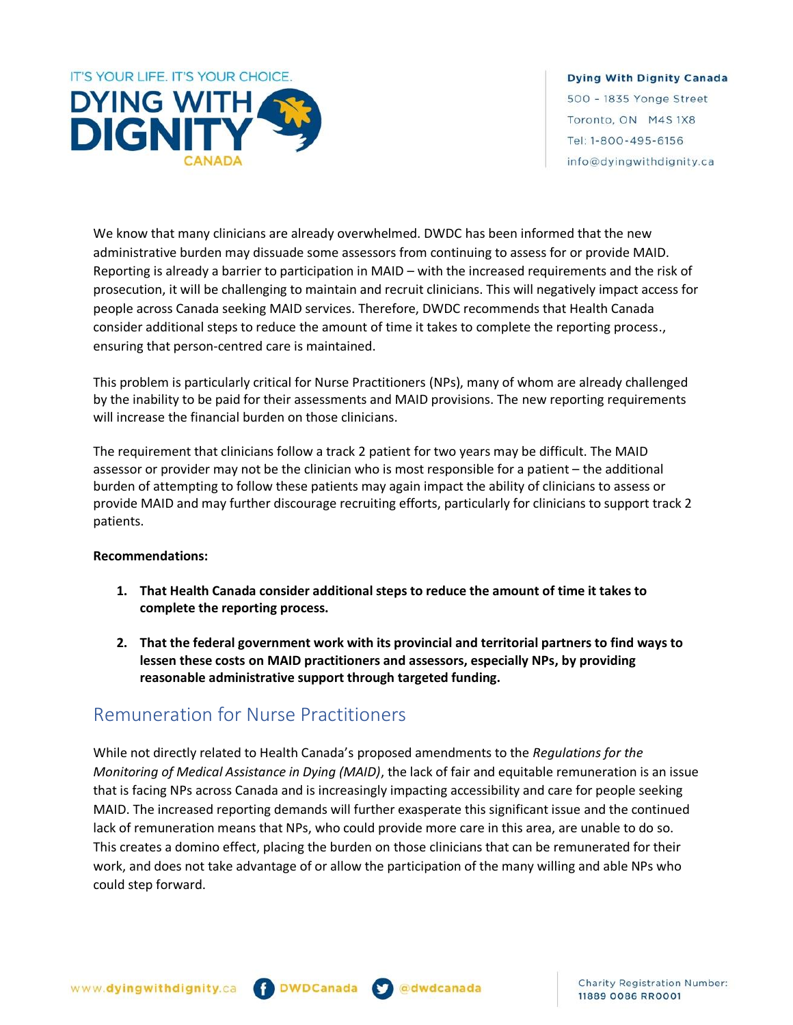

We know that many clinicians are already overwhelmed. DWDC has been informed that the new administrative burden may dissuade some assessors from continuing to assess for or provide MAID. Reporting is already a barrier to participation in MAID – with the increased requirements and the risk of prosecution, it will be challenging to maintain and recruit clinicians. This will negatively impact access for people across Canada seeking MAID services. Therefore, DWDC recommends that Health Canada consider additional steps to reduce the amount of time it takes to complete the reporting process., ensuring that person-centred care is maintained.

This problem is particularly critical for Nurse Practitioners (NPs), many of whom are already challenged by the inability to be paid for their assessments and MAID provisions. The new reporting requirements will increase the financial burden on those clinicians.

The requirement that clinicians follow a track 2 patient for two years may be difficult. The MAID assessor or provider may not be the clinician who is most responsible for a patient – the additional burden of attempting to follow these patients may again impact the ability of clinicians to assess or provide MAID and may further discourage recruiting efforts, particularly for clinicians to support track 2 patients.

## **Recommendations:**

- **1. That Health Canada consider additional steps to reduce the amount of time it takes to complete the reporting process.**
- **2. That the federal government work with its provincial and territorial partners to find ways to lessen these costs on MAID practitioners and assessors, especially NPs, by providing reasonable administrative support through targeted funding.**

## Remuneration for Nurse Practitioners

While not directly related to Health Canada's proposed amendments to the *Regulations for the Monitoring of Medical Assistance in Dying (MAID)*, the lack of fair and equitable remuneration is an issue that is facing NPs across Canada and is increasingly impacting accessibility and care for people seeking MAID. The increased reporting demands will further exasperate this significant issue and the continued lack of remuneration means that NPs, who could provide more care in this area, are unable to do so. This creates a domino effect, placing the burden on those clinicians that can be remunerated for their work, and does not take advantage of or allow the participation of the many willing and able NPs who could step forward.